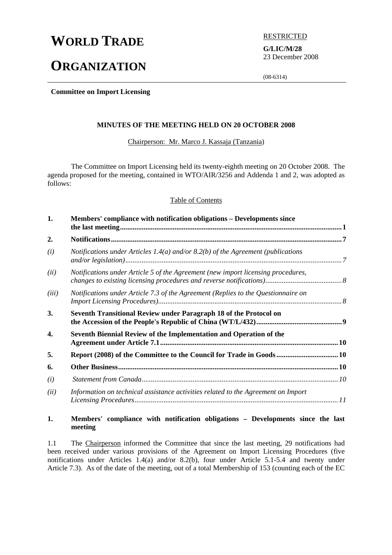# **WORLD TRADE** BESTRICTED

## **ORGANIZATION**

**G/LIC/M/28**  23 December 2008

(08-6314)

**Committee on Import Licensing** 

#### **MINUTES OF THE MEETING HELD ON 20 OCTOBER 2008**

Chairperson: Mr. Marco J. Kassaja (Tanzania)

 The Committee on Import Licensing held its twenty-eighth meeting on 20 October 2008. The agenda proposed for the meeting, contained in WTO/AIR/3256 and Addenda 1 and 2, was adopted as follows:

#### Table of Contents

| 1.    | Members' compliance with notification obligations – Developments since            |  |
|-------|-----------------------------------------------------------------------------------|--|
| 2.    |                                                                                   |  |
| (i)   | Notifications under Articles 1.4(a) and/or 8.2(b) of the Agreement (publications  |  |
| (ii)  | Notifications under Article 5 of the Agreement (new import licensing procedures,  |  |
| (iii) | Notifications under Article 7.3 of the Agreement (Replies to the Questionnaire on |  |
| 3.    | Seventh Transitional Review under Paragraph 18 of the Protocol on                 |  |
| 4.    | Seventh Biennial Review of the Implementation and Operation of the                |  |
| 5.    | Report (2008) of the Committee to the Council for Trade in Goods  10              |  |
| 6.    |                                                                                   |  |
| (i)   |                                                                                   |  |
| (ii)  | Information on technical assistance activities related to the Agreement on Import |  |

#### **1. Members' compliance with notification obligations – Developments since the last meeting**

1.1 The Chairperson informed the Committee that since the last meeting, 29 notifications had been received under various provisions of the Agreement on Import Licensing Procedures (five notifications under Articles 1.4(a) and/or 8.2(b), four under Article 5.1-5.4 and twenty under Article 7.3). As of the date of the meeting, out of a total Membership of 153 (counting each of the EC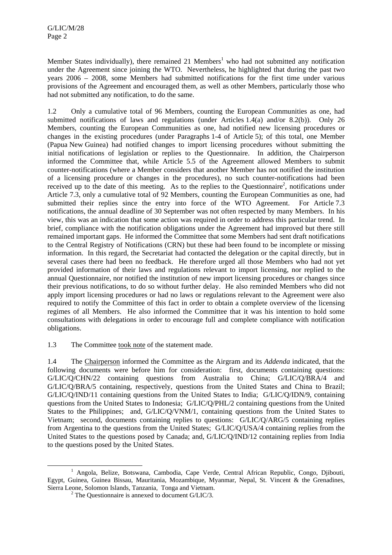Member States individually), there remained 21 Members<sup>1</sup> who had not submitted any notification under the Agreement since joining the WTO. Nevertheless, he highlighted that during the past two years 2006 – 2008, some Members had submitted notifications for the first time under various provisions of the Agreement and encouraged them, as well as other Members, particularly those who had not submitted any notification, to do the same.

1.2 Only a cumulative total of 96 Members, counting the European Communities as one, had submitted notifications of laws and regulations (under Articles 1.4(a) and/or 8.2(b)). Only 26 Members, counting the European Communities as one, had notified new licensing procedures or changes in the existing procedures (under Paragraphs 1-4 of Article 5); of this total, one Member (Papua New Guinea) had notified changes to import licensing procedures without submitting the initial notifications of legislation or replies to the Questionnaire. In addition, the Chairperson informed the Committee that, while Article 5.5 of the Agreement allowed Members to submit counter-notifications (where a Member considers that another Member has not notified the institution of a licensing procedure or changes in the procedures), no such counter-notifications had been received up to the date of this meeting. As to the replies to the Questionnaire<sup>2</sup>, notifications under Article 7.3, only a cumulative total of 92 Members, counting the European Communities as one, had submitted their replies since the entry into force of the WTO Agreement. For Article 7.3 notifications, the annual deadline of 30 September was not often respected by many Members. In his view, this was an indication that some action was required in order to address this particular trend. In brief, compliance with the notification obligations under the Agreement had improved but there still remained important gaps. He informed the Committee that some Members had sent draft notifications to the Central Registry of Notifications (CRN) but these had been found to be incomplete or missing information. In this regard, the Secretariat had contacted the delegation or the capital directly, but in several cases there had been no feedback. He therefore urged all those Members who had not yet provided information of their laws and regulations relevant to import licensing, nor replied to the annual Questionnaire, nor notified the institution of new import licensing procedures or changes since their previous notifications, to do so without further delay. He also reminded Members who did not apply import licensing procedures or had no laws or regulations relevant to the Agreement were also required to notify the Committee of this fact in order to obtain a complete overview of the licensing regimes of all Members. He also informed the Committee that it was his intention to hold some consultations with delegations in order to encourage full and complete compliance with notification obligations.

1.3 The Committee took note of the statement made.

1.4 The Chairperson informed the Committee as the Airgram and its *Addenda* indicated, that the following documents were before him for consideration: first, documents containing questions: G/LIC/Q/CHN/22 containing questions from Australia to China; G/LIC/Q/BRA/4 and G/LIC/O/BRA/5 containing, respectively, questions from the United States and China to Brazil: G/LIC/Q/IND/11 containing questions from the United States to India; G/LIC/Q/IDN/9, containing questions from the United States to Indonesia; G/LIC/Q/PHL/2 containing questions from the United States to the Philippines; and, G/LIC/Q/VNM/1, containing questions from the United States to Vietnam; second, documents containing replies to questions: G/LIC/Q/ARG/5 containing replies from Argentina to the questions from the United States; G/LIC/Q/USA/4 containing replies from the United States to the questions posed by Canada; and, G/LIC/Q/IND/12 containing replies from India to the questions posed by the United States.

 $\frac{1}{1}$ <sup>1</sup> Angola, Belize, Botswana, Cambodia, Cape Verde, Central African Republic, Congo, Djibouti, Egypt, Guinea, Guinea Bissau, Mauritania, Mozambique, Myanmar, Nepal, St. Vincent & the Grenadines, Sierra Leone, Solomon Islands, Tanzania, Tonga and Vietnam. 2

 $2$  The Questionnaire is annexed to document G/LIC/3.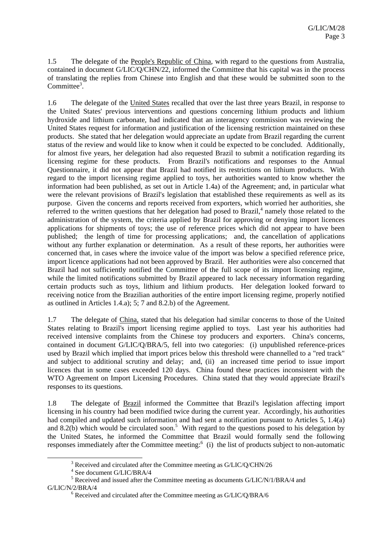1.5 The delegate of the People's Republic of China, with regard to the questions from Australia, contained in document G/LIC/Q/CHN/22, informed the Committee that his capital was in the process of translating the replies from Chinese into English and that these would be submitted soon to the Committee<sup>3</sup>.

1.6 The delegate of the United States recalled that over the last three years Brazil, in response to the United States' previous interventions and questions concerning lithium products and lithium hydroxide and lithium carbonate, had indicated that an interagency commission was reviewing the United States request for information and justification of the licensing restriction maintained on these products. She stated that her delegation would appreciate an update from Brazil regarding the current status of the review and would like to know when it could be expected to be concluded. Additionally, for almost five years, her delegation had also requested Brazil to submit a notification regarding its licensing regime for these products. From Brazil's notifications and responses to the Annual Questionnaire, it did not appear that Brazil had notified its restrictions on lithium products. With regard to the import licensing regime applied to toys, her authorities wanted to know whether the information had been published, as set out in Article 1.4a) of the Agreement; and, in particular what were the relevant provisions of Brazil's legislation that established these requirements as well as its purpose. Given the concerns and reports received from exporters, which worried her authorities, she referred to the written questions that her delegation had posed to Brazil, $4$  namely those related to the administration of the system, the criteria applied by Brazil for approving or denying import licences applications for shipments of toys; the use of reference prices which did not appear to have been published; the length of time for processing applications; and, the cancellation of applications without any further explanation or determination. As a result of these reports, her authorities were concerned that, in cases where the invoice value of the import was below a specified reference price, import licence applications had not been approved by Brazil. Her authorities were also concerned that Brazil had not sufficiently notified the Committee of the full scope of its import licensing regime, while the limited notifications submitted by Brazil appeared to lack necessary information regarding certain products such as toys, lithium and lithium products. Her delegation looked forward to receiving notice from the Brazilian authorities of the entire import licensing regime, properly notified as outlined in Articles 1.4.a); 5; 7 and 8.2.b) of the Agreement.

1.7 The delegate of China, stated that his delegation had similar concerns to those of the United States relating to Brazil's import licensing regime applied to toys. Last year his authorities had received intensive complaints from the Chinese toy producers and exporters. China's concerns, contained in document G/LIC/Q/BRA/5, fell into two categories: (i) unpublished reference-prices used by Brazil which implied that import prices below this threshold were channelled to a "red track" and subject to additional scrutiny and delay; and, (ii) an increased time period to issue import licences that in some cases exceeded 120 days. China found these practices inconsistent with the WTO Agreement on Import Licensing Procedures. China stated that they would appreciate Brazil's responses to its questions.

1.8 The delegate of Brazil informed the Committee that Brazil's legislation affecting import licensing in his country had been modified twice during the current year. Accordingly, his authorities had compiled and updated such information and had sent a notification pursuant to Articles 5, 1.4(a) and 8.2(b) which would be circulated soon.<sup>5</sup> With regard to the questions posed to his delegation by the United States, he informed the Committee that Brazil would formally send the following responses immediately after the Committee meeting: $6$  (i) the list of products subject to non-automatic

 <sup>3</sup>  $^3$  Received and circulated after the Committee meeting as G/LIC/Q/CHN/26

<sup>&</sup>lt;sup>4</sup> See document G/LIC/BRA/4

 $<sup>5</sup>$  Received and issued after the Committee meeting as documents G/LIC/N/1/BRA/4 and</sup>  $G/LIC/N/2/BRA/4$ 

 $6$  Received and circulated after the Committee meeting as G/LIC/Q/BRA/6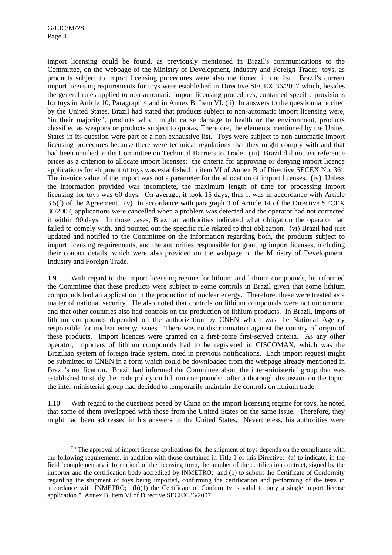import licensing could be found, as previously mentioned in Brazil's communications to the Committee, on the webpage of the Ministry of Development, Industry and Foreign Trade; toys, as products subject to import licensing procedures were also mentioned in the list. Brazil's current import licensing requirements for toys were established in Directive SECEX 36/2007 which, besides the general rules applied to non-automatic import licensing procedures, contained specific provisions for toys in Article 10, Paragraph 4 and in Annex B, Item VI. (ii) In answers to the questionnaire cited by the United States, Brazil had stated that products subject to non-automatic import licensing were, "in their majority", products which might cause damage to health or the environment, products classified as weapons or products subject to quotas. Therefore, the elements mentioned by the United States in its question were part of a non-exhaustive list. Toys were subject to non-automatic import licensing procedures because there were technical regulations that they might comply with and that had been notified to the Committee on Technical Barriers to Trade. (iii) Brazil did not use reference prices as a criterion to allocate import licenses; the criteria for approving or denying import licence applications for shipment of toys was established in item VI of Annex B of Directive SECEX No.  $36^7$ . The invoice value of the import was not a parameter for the allocation of import licenses. (iv) Unless the information provided was incomplete, the maximum length of time for processing import licensing for toys was 60 days. On average, it took 15 days, thus it was in accordance with Article 3.5(f) of the Agreement. (v) In accordance with paragraph 3 of Article 14 of the Directive SECEX 36/2007, applications were cancelled when a problem was detected and the operator had not corrected it within 90 days. In those cases, Brazilian authorities indicated what obligation the operator had failed to comply with, and pointed out the specific rule related to that obligation. (vi) Brazil had just updated and notified to the Committee on the information regarding both, the products subject to import licensing requirements, and the authorities responsible for granting import licenses, including their contact details, which were also provided on the webpage of the Ministry of Development, Industry and Foreign Trade.

1.9 With regard to the import licensing regime for lithium and lithium compounds, he informed the Committee that these products were subject to some controls in Brazil given that some lithium compounds had an application in the production of nuclear energy. Therefore, these were treated as a matter of national security. He also noted that controls on lithium compounds were not uncommon and that other countries also had controls on the production of lithium products. In Brazil, imports of lithium compounds depended on the authorization by CNEN which was the National Agency responsible for nuclear energy issues. There was no discrimination against the country of origin of these products. Import licences were granted on a first-come first-served criteria. As any other operator, importers of lithium compounds had to be registered in CISCOMAX, which was the Brazilian system of foreign trade system, cited in previous notifications. Each import request might be submitted to CNEN in a form which could be downloaded from the webpage already mentioned in Brazil's notification. Brazil had informed the Committee about the inter-ministerial group that was established to study the trade policy on lithium compounds; after a thorough discussion on the topic, the inter-ministerial group had decided to temporarily maintain the controls on lithium trade.

1.10 With regard to the questions posed by China on the import licensing regime for toys, he noted that some of them overlapped with those from the United States on the same issue. Therefore, they might had been addressed in his answers to the United States. Nevertheless, his authorities were

 $\overline{\phantom{a}}$  $\frac{7}{1}$  "The approval of import license applications for the shipment of toys depends on the compliance with the following requirements, in addition with those contained in Title 1 of this Directive: (a) to indicate, in the field 'complementary information' of the licensing form, the number of the certification contract, signed by the importer and the certification body accredited by INMETRO; and (b) to submit the Certificate of Conformity regarding the shipment of toys being imported, confirming the certification and performing of the tests in accordance with INMETRO; (b)(1) the Certificate of Conformity is valid to only a single import license application." Annex B, item VI of Directive SECEX 36/2007.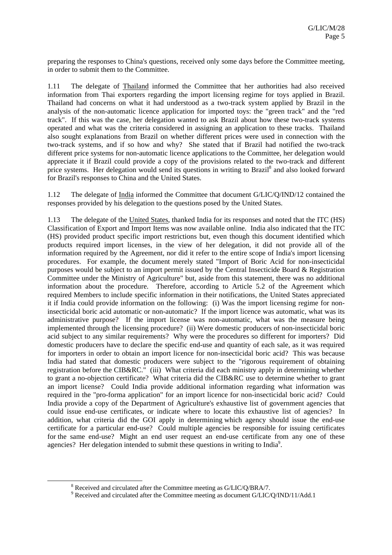preparing the responses to China's questions, received only some days before the Committee meeting, in order to submit them to the Committee.

1.11 The delegate of Thailand informed the Committee that her authorities had also received information from Thai exporters regarding the import licensing regime for toys applied in Brazil. Thailand had concerns on what it had understood as a two-track system applied by Brazil in the analysis of the non-automatic licence application for imported toys: the "green track" and the "red track". If this was the case, her delegation wanted to ask Brazil about how these two-track systems operated and what was the criteria considered in assigning an application to these tracks. Thailand also sought explanations from Brazil on whether different prices were used in connection with the two-track systems, and if so how and why? She stated that if Brazil had notified the two-track different price systems for non-automatic licence applications to the Committee, her delegation would appreciate it if Brazil could provide a copy of the provisions related to the two-track and different price systems. Her delegation would send its questions in writing to Brazil<sup>8</sup> and also looked forward for Brazil's responses to China and the United States.

1.12 The delegate of India informed the Committee that document G/LIC/Q/IND/12 contained the responses provided by his delegation to the questions posed by the United States.

1.13 The delegate of the United States, thanked India for its responses and noted that the ITC (HS) Classification of Export and Import Items was now available online. India also indicated that the ITC (HS) provided product specific import restrictions but, even though this document identified which products required import licenses, in the view of her delegation, it did not provide all of the information required by the Agreement, nor did it refer to the entire scope of India's import licensing procedures. For example, the document merely stated "Import of Boric Acid for non-insecticidal purposes would be subject to an import permit issued by the Central Insecticide Board & Registration Committee under the Ministry of Agriculture" but, aside from this statement, there was no additional information about the procedure. Therefore, according to Article 5.2 of the Agreement which required Members to include specific information in their notifications, the United States appreciated it if India could provide information on the following: (i) Was the import licensing regime for noninsecticidal boric acid automatic or non-automatic? If the import licence was automatic, what was its administrative purpose? If the import license was non-automatic, what was the measure being implemented through the licensing procedure? (ii) Were domestic producers of non-insecticidal boric acid subject to any similar requirements? Why were the procedures so different for importers? Did domestic producers have to declare the specific end-use and quantity of each sale, as it was required for importers in order to obtain an import licence for non-insecticidal boric acid? This was because India had stated that domestic producers were subject to the "rigorous requirement of obtaining registration before the CIB&RC." (iii) What criteria did each ministry apply in determining whether to grant a no-objection certificate? What criteria did the CIB&RC use to determine whether to grant an import license? Could India provide additional information regarding what information was required in the "pro-forma application" for an import licence for non-insecticidal boric acid? Could India provide a copy of the Department of Agriculture's exhaustive list of government agencies that could issue end-use certificates, or indicate where to locate this exhaustive list of agencies? In addition, what criteria did the GOI apply in determining which agency should issue the end-use certificate for a particular end-use? Could multiple agencies be responsible for issuing certificates for the same end-use? Might an end user request an end-use certificate from any one of these agencies? Her delegation intended to submit these questions in writing to India<sup>9</sup>.

 <sup>8</sup>  $8$  Received and circulated after the Committee meeting as  $G/LIC/Q/BRA/7$ .

<sup>&</sup>lt;sup>9</sup> Received and circulated after the Committee meeting as document G/LIC/Q/IND/11/Add.1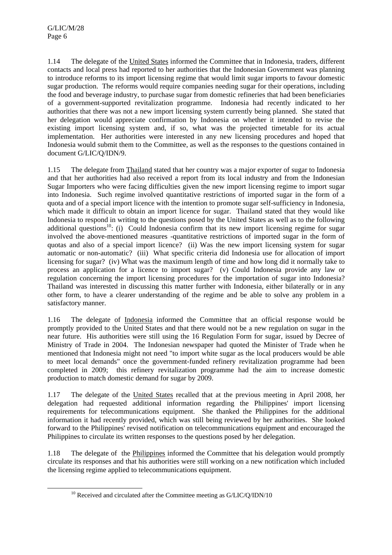1.14 The delegate of the United States informed the Committee that in Indonesia, traders, different contacts and local press had reported to her authorities that the Indonesian Government was planning to introduce reforms to its import licensing regime that would limit sugar imports to favour domestic sugar production. The reforms would require companies needing sugar for their operations, including the food and beverage industry, to purchase sugar from domestic refineries that had been beneficiaries of a government-supported revitalization programme. Indonesia had recently indicated to her authorities that there was not a new import licensing system currently being planned. She stated that her delegation would appreciate confirmation by Indonesia on whether it intended to revise the existing import licensing system and, if so, what was the projected timetable for its actual implementation. Her authorities were interested in any new licensing procedures and hoped that Indonesia would submit them to the Committee, as well as the responses to the questions contained in document G/LIC/Q/IDN/9.

1.15 The delegate from Thailand stated that her country was a major exporter of sugar to Indonesia and that her authorities had also received a report from its local industry and from the Indonesian Sugar Importers who were facing difficulties given the new import licensing regime to import sugar into Indonesia. Such regime involved quantitative restrictions of imported sugar in the form of a quota and of a special import licence with the intention to promote sugar self-sufficiency in Indonesia, which made it difficult to obtain an import licence for sugar. Thailand stated that they would like Indonesia to respond in writing to the questions posed by the United States as well as to the following additional questions<sup>10</sup>: (i) Could Indonesia confirm that its new import licensing regime for sugar involved the above-mentioned measures -quantitative restrictions of imported sugar in the form of quotas and also of a special import licence? (ii) Was the new import licensing system for sugar automatic or non-automatic? (iii) What specific criteria did Indonesia use for allocation of import licensing for sugar? (iv) What was the maximum length of time and how long did it normally take to process an application for a licence to import sugar? (v) Could Indonesia provide any law or regulation concerning the import licensing procedures for the importation of sugar into Indonesia? Thailand was interested in discussing this matter further with Indonesia, either bilaterally or in any other form, to have a clearer understanding of the regime and be able to solve any problem in a satisfactory manner.

1.16 The delegate of Indonesia informed the Committee that an official response would be promptly provided to the United States and that there would not be a new regulation on sugar in the near future. His authorities were still using the 16 Regulation Form for sugar, issued by Decree of Ministry of Trade in 2004. The Indonesian newspaper had quoted the Minister of Trade when he mentioned that Indonesia might not need "to import white sugar as the local producers would be able to meet local demands" once the government-funded refinery revitalization programme had been completed in 2009; this refinery revitalization programme had the aim to increase domestic production to match domestic demand for sugar by 2009.

1.17 The delegate of the United States recalled that at the previous meeting in April 2008, her delegation had requested additional information regarding the Philippines' import licensing requirements for telecommunications equipment. She thanked the Philippines for the additional information it had recently provided, which was still being reviewed by her authorities. She looked forward to the Philippines' revised notification on telecommunications equipment and encouraged the Philippines to circulate its written responses to the questions posed by her delegation.

1.18 The delegate of the Philippines informed the Committee that his delegation would promptly circulate its responses and that his authorities were still working on a new notification which included the licensing regime applied to telecommunications equipment.

<sup>&</sup>lt;sup>10</sup> Received and circulated after the Committee meeting as G/LIC/Q/IDN/10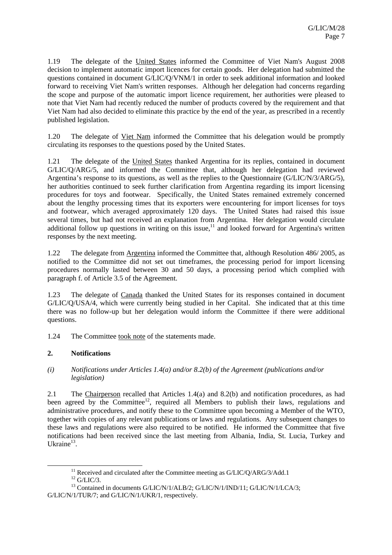1.19 The delegate of the United States informed the Committee of Viet Nam's August 2008 decision to implement automatic import licences for certain goods. Her delegation had submitted the questions contained in document G/LIC/Q/VNM/1 in order to seek additional information and looked forward to receiving Viet Nam's written responses. Although her delegation had concerns regarding the scope and purpose of the automatic import licence requirement, her authorities were pleased to note that Viet Nam had recently reduced the number of products covered by the requirement and that Viet Nam had also decided to eliminate this practice by the end of the year, as prescribed in a recently published legislation.

1.20 The delegate of Viet Nam informed the Committee that his delegation would be promptly circulating its responses to the questions posed by the United States.

1.21 The delegate of the United States thanked Argentina for its replies, contained in document G/LIC/Q/ARG/5, and informed the Committee that, although her delegation had reviewed Argentina's response to its questions, as well as the replies to the Questionnaire (G/LIC/N/3/ARG/5), her authorities continued to seek further clarification from Argentina regarding its import licensing procedures for toys and footwear. Specifically, the United States remained extremely concerned about the lengthy processing times that its exporters were encountering for import licenses for toys and footwear, which averaged approximately 120 days. The United States had raised this issue several times, but had not received an explanation from Argentina. Her delegation would circulate additional follow up questions in writing on this issue, $11$  and looked forward for Argentina's written responses by the next meeting.

1.22 The delegate from Argentina informed the Committee that, although Resolution 486/ 2005, as notified to the Committee did not set out timeframes, the processing period for import licensing procedures normally lasted between 30 and 50 days, a processing period which complied with paragraph f. of Article 3.5 of the Agreement.

1.23 The delegate of Canada thanked the United States for its responses contained in document G/LIC/Q/USA/4, which were currently being studied in her Capital. She indicated that at this time there was no follow-up but her delegation would inform the Committee if there were additional questions.

1.24 The Committee took note of the statements made.

## **2. Notifications**

*(i) Notifications under Articles 1.4(a) and/or 8.2(b) of the Agreement (publications and/or legislation)* 

2.1 The Chairperson recalled that Articles 1.4(a) and 8.2(b) and notification procedures, as had been agreed by the Committee<sup>12</sup>, required all Members to publish their laws, regulations and administrative procedures, and notify these to the Committee upon becoming a Member of the WTO, together with copies of any relevant publications or laws and regulations. Any subsequent changes to these laws and regulations were also required to be notified. He informed the Committee that five notifications had been received since the last meeting from Albania, India, St. Lucia, Turkey and Ukraine $^{13}$ .

 $^{11}$  Received and circulated after the Committee meeting as G/LIC/Q/ARG/3/Add.1  $^{12}$  G/LIC/3.

<sup>&</sup>lt;sup>13</sup> Contained in documents G/LIC/N/1/ALB/2; G/LIC/N/1/IND/11; G/LIC/N/1/LCA/3; G/LIC/N/1/TUR/7; and G/LIC/N/1/UKR/1, respectively.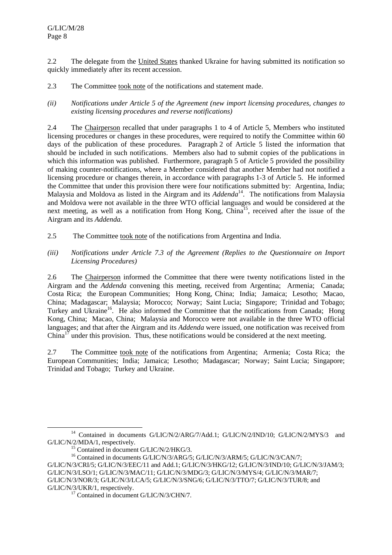2.2 The delegate from the United States thanked Ukraine for having submitted its notification so quickly immediately after its recent accession.

2.3 The Committee took note of the notifications and statement made.

*(ii) Notifications under Article 5 of the Agreement (new import licensing procedures, changes to existing licensing procedures and reverse notifications)* 

2.4 The Chairperson recalled that under paragraphs 1 to 4 of Article 5, Members who instituted licensing procedures or changes in these procedures, were required to notify the Committee within 60 days of the publication of these procedures. Paragraph 2 of Article 5 listed the information that should be included in such notifications. Members also had to submit copies of the publications in which this information was published. Furthermore, paragraph 5 of Article 5 provided the possibility of making counter-notifications, where a Member considered that another Member had not notified a licensing procedure or changes therein, in accordance with paragraphs 1-3 of Article 5. He informed the Committee that under this provision there were four notifications submitted by: Argentina, India; Malaysia and Moldova as listed in the Airgram and its *Addenda*<sup>14</sup>. The notifications from Malaysia and Moldova were not available in the three WTO official languages and would be considered at the next meeting, as well as a notification from Hong Kong, China<sup>15</sup>, received after the issue of the Airgram and its *Addenda.*

- 2.5 The Committee took note of the notifications from Argentina and India.
- *(iii) Notifications under Article 7.3 of the Agreement (Replies to the Questionnaire on Import Licensing Procedures)*

2.6 The Chairperson informed the Committee that there were twenty notifications listed in the Airgram and the *Addenda* convening this meeting, received from Argentina; Armenia; Canada; Costa Rica; the European Communities; Hong Kong, China; India; Jamaica; Lesotho; Macao, China; Madagascar; Malaysia; Morocco; Norway; Saint Lucia; Singapore; Trinidad and Tobago; Turkey and Ukraine<sup>16</sup>. He also informed the Committee that the notifications from Canada; Hong Kong, China; Macao, China; Malaysia and Morocco were not available in the three WTO official languages; and that after the Airgram and its *Addenda* were issued, one notification was received from  $China<sup>17</sup>$  under this provision. Thus, these notifications would be considered at the next meeting.

2.7 The Committee took note of the notifications from Argentina; Armenia; Costa Rica; the European Communities; India; Jamaica; Lesotho; Madagascar; Norway; Saint Lucia; Singapore; Trinidad and Tobago; Turkey and Ukraine.

<sup>&</sup>lt;sup>14</sup> Contained in documents G/LIC/N/2/ARG/7/Add.1; G/LIC/N/2/IND/10; G/LIC/N/2/MYS/3 and  $G/LIC/N/2/MDA/1$ , respectively.<br><sup>15</sup> Contained in document  $G/LIC/N/2/HKG/3$ .

<sup>&</sup>lt;sup>16</sup> Contained in documents G/LIC/N/3/ARG/5; G/LIC/N/3/ARM/5; G/LIC/N/3/CAN/7;

G/LIC/N/3/CRI/5; G/LIC/N/3/EEC/11 and Add.1; G/LIC/N/3/HKG/12; G/LIC/N/3/IND/10; G/LIC/N/3/JAM/3; G/LIC/N/3/LSO/1; G/LIC/N/3/MAC/11; G/LIC/N/3/MDG/3; G/LIC/N/3/MYS/4; G/LIC/N/3/MAR/7; G/LIC/N/3/NOR/3; G/LIC/N/3/LCA/5; G/LIC/N/3/SNG/6; G/LIC/N/3/TTO/7; G/LIC/N/3/TUR/8; and G/LIC/N/3/UKR/1, respectively.<br><sup>17</sup> Contained in document G/LIC/N/3/CHN/7.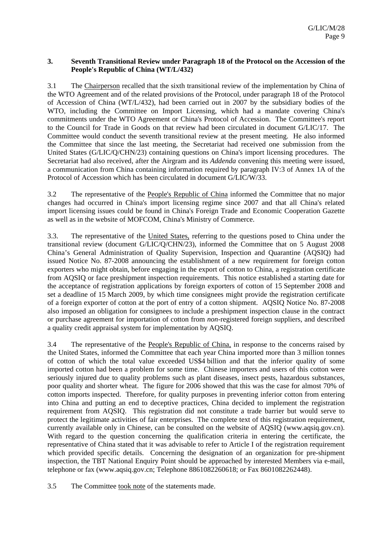#### **3. Seventh Transitional Review under Paragraph 18 of the Protocol on the Accession of the People's Republic of China (WT/L/432)**

3.1 The Chairperson recalled that the sixth transitional review of the implementation by China of the WTO Agreement and of the related provisions of the Protocol, under paragraph 18 of the Protocol of Accession of China (WT/L/432), had been carried out in 2007 by the subsidiary bodies of the WTO, including the Committee on Import Licensing, which had a mandate covering China's commitments under the WTO Agreement or China's Protocol of Accession. The Committee's report to the Council for Trade in Goods on that review had been circulated in document G/LIC/17. The Committee would conduct the seventh transitional review at the present meeting. He also informed the Committee that since the last meeting, the Secretariat had received one submission from the United States (G/LIC/Q/CHN/23) containing questions on China's import licensing procedures. The Secretariat had also received, after the Airgram and its *Addenda* convening this meeting were issued, a communication from China containing information required by paragraph IV:3 of Annex 1A of the Protocol of Accession which has been circulated in document G/LIC/W/33.

3.2 The representative of the People's Republic of China informed the Committee that no major changes had occurred in China's import licensing regime since 2007 and that all China's related import licensing issues could be found in China's Foreign Trade and Economic Cooperation Gazette as well as in the website of MOFCOM, China's Ministry of Commerce.

3.3. The representative of the United States, referring to the questions posed to China under the transitional review (document G/LIC/Q/CHN/23), informed the Committee that on 5 August 2008 China's General Administration of Quality Supervision, Inspection and Quarantine (AQSIQ) had issued Notice No. 87-2008 announcing the establishment of a new requirement for foreign cotton exporters who might obtain, before engaging in the export of cotton to China, a registration certificate from AQSIQ or face preshipment inspection requirements. This notice established a starting date for the acceptance of registration applications by foreign exporters of cotton of 15 September 2008 and set a deadline of 15 March 2009, by which time consignees might provide the registration certificate of a foreign exporter of cotton at the port of entry of a cotton shipment. AQSIQ Notice No. 87-2008 also imposed an obligation for consignees to include a preshipment inspection clause in the contract or purchase agreement for importation of cotton from *non*-registered foreign suppliers, and described a quality credit appraisal system for implementation by AQSIQ.

3.4 The representative of the People's Republic of China*,* in response to the concerns raised by the United States, informed the Committee that each year China imported more than 3 million tonnes of cotton of which the total value exceeded US\$4 billion and that the inferior quality of some imported cotton had been a problem for some time. Chinese importers and users of this cotton were seriously injured due to quality problems such as plant diseases, insect pests, hazardous substances, poor quality and shorter wheat. The figure for 2006 showed that this was the case for almost 70% of cotton imports inspected. Therefore, for quality purposes in preventing inferior cotton from entering into China and putting an end to deceptive practices, China decided to implement the registration requirement from AQSIQ. This registration did not constitute a trade barrier but would serve to protect the legitimate activities of fair enterprises. The complete text of this registration requirement, currently available only in Chinese, can be consulted on the website of AQSIQ (www.aqsiq.gov.cn). With regard to the question concerning the qualification criteria in entering the certificate, the representative of China stated that it was advisable to refer to Article I of the registration requirement which provided specific details. Concerning the designation of an organization for pre-shipment inspection, the TBT National Enquiry Point should be approached by interested Members via e-mail, telephone or fax (www.aqsiq.gov.cn; Telephone 8861082260618; or Fax 8601082262448).

3.5 The Committee took note of the statements made.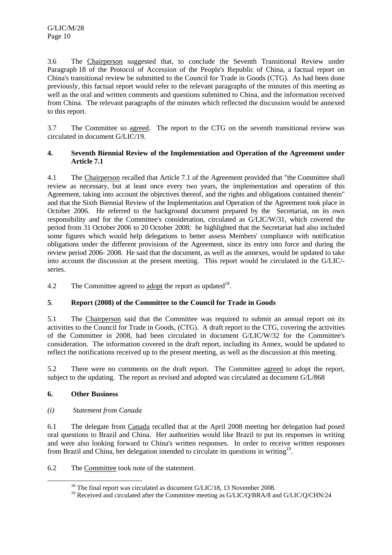3.6 The Chairperson suggested that, to conclude the Seventh Transitional Review under Paragraph 18 of the Protocol of Accession of the People's Republic of China, a factual report on China's transitional review be submitted to the Council for Trade in Goods (CTG). As had been done previously, this factual report would refer to the relevant paragraphs of the minutes of this meeting as well as the oral and written comments and questions submitted to China, and the information received from China. The relevant paragraphs of the minutes which reflected the discussion would be annexed to this report.

3.7 The Committee so agreed. The report to the CTG on the seventh transitional review was circulated in document G/LIC/19.

#### **4. Seventh Biennial Review of the Implementation and Operation of the Agreement under Article 7.1**

4.1 The Chairperson recalled that Article 7.1 of the Agreement provided that "the Committee shall review as necessary, but at least once every two years, the implementation and operation of this Agreement, taking into account the objectives thereof, and the rights and obligations contained therein" and that the Sixth Biennial Review of the Implementation and Operation of the Agreement took place in October 2006. He referred to the background document prepared by the Secretariat, on its own responsibility and for the Committee's consideration, circulated as G/LIC/W/31, which covered the period from 31 October 2006 to 20 October 2008; he highlighted that the Secretariat had also included some figures which would help delegations to better assess Members' compliance with notification obligations under the different provisions of the Agreement, since its entry into force and during the review period 2006- 2008. He said that the document, as well as the annexes, would be updated to take into account the discussion at the present meeting. This report would be circulated in the G/LIC/ series.

4.2 The Committee agreed to adopt the report as updated<sup>18</sup>.

## **5**. **Report (2008) of the Committee to the Council for Trade in Goods**

5.1 The Chairperson said that the Committee was required to submit an annual report on its activities to the Council for Trade in Goods, (CTG). A draft report to the CTG, covering the activities of the Committee in 2008, had been circulated in document G/LIC/W/32 for the Committee's consideration. The information covered in the draft report, including its Annex, would be updated to reflect the notifications received up to the present meeting, as well as the discussion at this meeting.

5.2 There were no comments on the draft report. The Committee agreed to adopt the report, subject to the updating. The report as revised and adopted was circulated as document G/L/868

## **6. Other Business**

## *(i) Statement from Canada*

6.1 The delegate from Canada recalled that at the April 2008 meeting her delegation had posed oral questions to Brazil and China. Her authorities would like Brazil to put its responses in writing and were also looking forward to China's written responses. In order to receive written responses from Brazil and China, her delegation intended to circulate its questions in writing<sup>19</sup>.

6.2 The Committee took note of the statement.

<sup>&</sup>lt;sup>18</sup> The final report was circulated as document G/LIC/18, 13 November 2008.

<sup>&</sup>lt;sup>19</sup> Received and circulated after the Committee meeting as G/LIC/Q/BRA/8 and G/LIC/Q/CHN/24